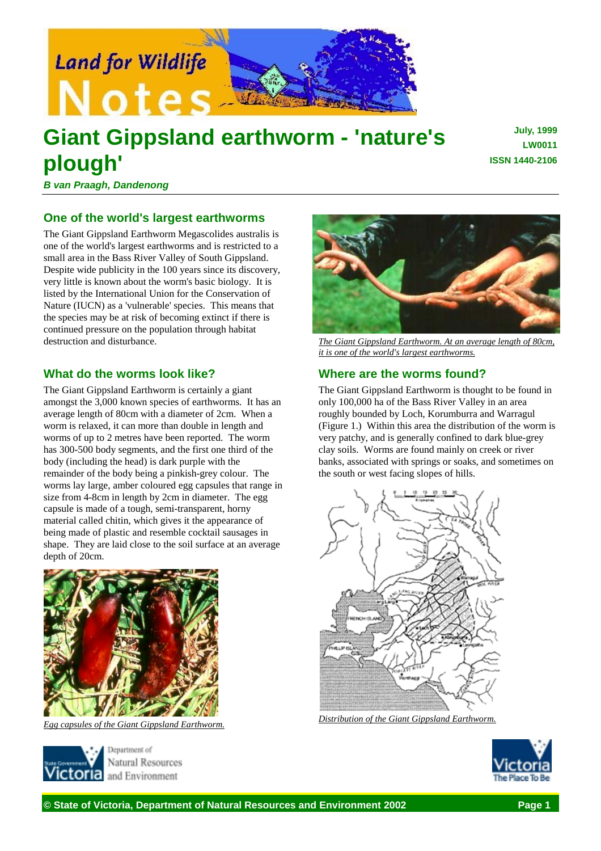

# **Giant Gippsland earthworm - 'nature's plough'**

**July, 1999 LW0011 ISSN 1440-2106**

*B van Praagh, Dandenong*

## **One of the world's largest earthworms**

The Giant Gippsland Earthworm Megascolides australis is one of the world's largest earthworms and is restricted to a small area in the Bass River Valley of South Gippsland. Despite wide publicity in the 100 years since its discovery, very little is known about the worm's basic biology. It is listed by the International Union for the Conservation of Nature (IUCN) as a 'vulnerable' species. This means that the species may be at risk of becoming extinct if there is continued pressure on the population through habitat destruction and disturbance.

## **What do the worms look like?**

The Giant Gippsland Earthworm is certainly a giant amongst the 3,000 known species of earthworms. It has an average length of 80cm with a diameter of 2cm. When a worm is relaxed, it can more than double in length and worms of up to 2 metres have been reported. The worm has 300-500 body segments, and the first one third of the body (including the head) is dark purple with the remainder of the body being a pinkish-grey colour. The worms lay large, amber coloured egg capsules that range in size from 4-8cm in length by 2cm in diameter. The egg capsule is made of a tough, semi-transparent, horny material called chitin, which gives it the appearance of being made of plastic and resemble cocktail sausages in shape. They are laid close to the soil surface at an average depth of 20cm.



*Egg capsules of the Giant Gippsland Earthworm.*



Natural Resources and Environment



*The Giant Gippsland Earthworm. At an average length of 80cm, it is one of the world's largest earthworms.*

## **Where are the worms found?**

The Giant Gippsland Earthworm is thought to be found in only 100,000 ha of the Bass River Valley in an area roughly bounded by Loch, Korumburra and Warragul (Figure 1.) Within this area the distribution of the worm is very patchy, and is generally confined to dark blue-grey clay soils. Worms are found mainly on creek or river banks, associated with springs or soaks, and sometimes on the south or west facing slopes of hills.



*Distribution of the Giant Gippsland Earthworm.*

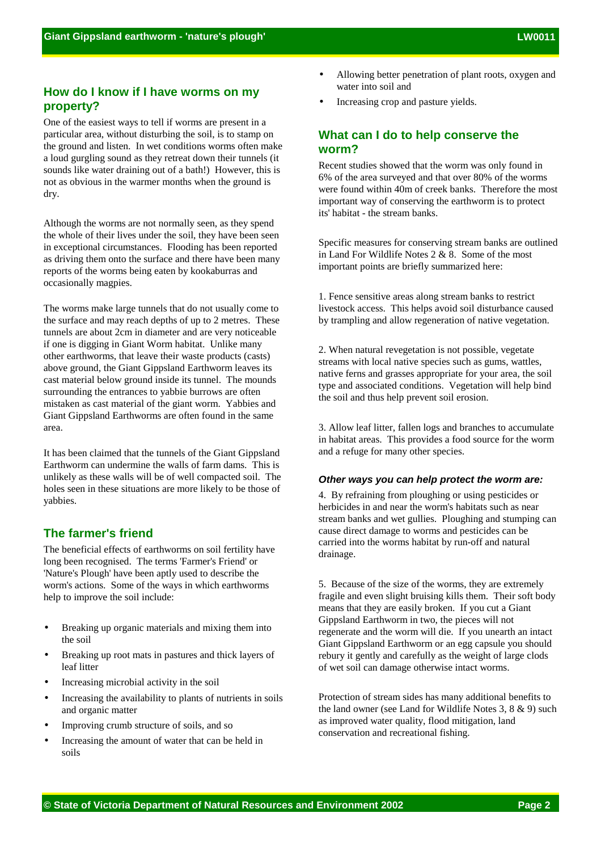# **How do I know if I have worms on my property?**

One of the easiest ways to tell if worms are present in a particular area, without disturbing the soil, is to stamp on the ground and listen. In wet conditions worms often make a loud gurgling sound as they retreat down their tunnels (it sounds like water draining out of a bath!) However, this is not as obvious in the warmer months when the ground is dry.

Although the worms are not normally seen, as they spend the whole of their lives under the soil, they have been seen in exceptional circumstances. Flooding has been reported as driving them onto the surface and there have been many reports of the worms being eaten by kookaburras and occasionally magpies.

The worms make large tunnels that do not usually come to the surface and may reach depths of up to 2 metres. These tunnels are about 2cm in diameter and are very noticeable if one is digging in Giant Worm habitat. Unlike many other earthworms, that leave their waste products (casts) above ground, the Giant Gippsland Earthworm leaves its cast material below ground inside its tunnel. The mounds surrounding the entrances to yabbie burrows are often mistaken as cast material of the giant worm. Yabbies and Giant Gippsland Earthworms are often found in the same area.

It has been claimed that the tunnels of the Giant Gippsland Earthworm can undermine the walls of farm dams. This is unlikely as these walls will be of well compacted soil. The holes seen in these situations are more likely to be those of yabbies.

## **The farmer's friend**

The beneficial effects of earthworms on soil fertility have long been recognised. The terms 'Farmer's Friend' or 'Nature's Plough' have been aptly used to describe the worm's actions. Some of the ways in which earthworms help to improve the soil include:

- Breaking up organic materials and mixing them into the soil
- Breaking up root mats in pastures and thick layers of leaf litter
- Increasing microbial activity in the soil
- Increasing the availability to plants of nutrients in soils and organic matter
- Improving crumb structure of soils, and so
- Increasing the amount of water that can be held in soils
- Allowing better penetration of plant roots, oxygen and water into soil and
- Increasing crop and pasture yields.

## **What can I do to help conserve the worm?**

Recent studies showed that the worm was only found in 6% of the area surveyed and that over 80% of the worms were found within 40m of creek banks. Therefore the most important way of conserving the earthworm is to protect its' habitat - the stream banks.

Specific measures for conserving stream banks are outlined in Land For Wildlife Notes 2 & 8. Some of the most important points are briefly summarized here:

1. Fence sensitive areas along stream banks to restrict livestock access. This helps avoid soil disturbance caused by trampling and allow regeneration of native vegetation.

2. When natural revegetation is not possible, vegetate streams with local native species such as gums, wattles, native ferns and grasses appropriate for your area, the soil type and associated conditions. Vegetation will help bind the soil and thus help prevent soil erosion.

3. Allow leaf litter, fallen logs and branches to accumulate in habitat areas. This provides a food source for the worm and a refuge for many other species.

#### *Other ways you can help protect the worm are:*

4. By refraining from ploughing or using pesticides or herbicides in and near the worm's habitats such as near stream banks and wet gullies. Ploughing and stumping can cause direct damage to worms and pesticides can be carried into the worms habitat by run-off and natural drainage.

5. Because of the size of the worms, they are extremely fragile and even slight bruising kills them. Their soft body means that they are easily broken. If you cut a Giant Gippsland Earthworm in two, the pieces will not regenerate and the worm will die. If you unearth an intact Giant Gippsland Earthworm or an egg capsule you should rebury it gently and carefully as the weight of large clods of wet soil can damage otherwise intact worms.

Protection of stream sides has many additional benefits to the land owner (see Land for Wildlife Notes 3, 8 & 9) such as improved water quality, flood mitigation, land conservation and recreational fishing.